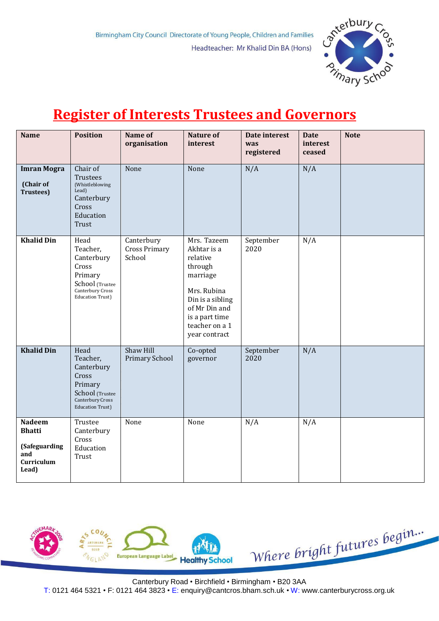

## **Register of Interests Trustees and Governors**

| <b>Name</b>                                                                   | <b>Position</b>                                                                                                       | Name of<br>organisation                      | <b>Nature of</b><br>interest                                                                                                                                           | Date interest<br>was<br>registered | <b>Date</b><br>interest<br>ceased | <b>Note</b> |
|-------------------------------------------------------------------------------|-----------------------------------------------------------------------------------------------------------------------|----------------------------------------------|------------------------------------------------------------------------------------------------------------------------------------------------------------------------|------------------------------------|-----------------------------------|-------------|
| <b>Imran Mogra</b><br>(Chair of<br><b>Trustees</b> )                          | Chair of<br><b>Trustees</b><br>(Whistleblowing<br>Lead)<br>Canterbury<br>Cross<br>Education<br><b>Trust</b>           | None                                         | None                                                                                                                                                                   | N/A                                | N/A                               |             |
| <b>Khalid Din</b>                                                             | Head<br>Teacher,<br>Canterbury<br>Cross<br>Primary<br>School (Trustee<br>Canterbury Cross<br><b>Education Trust)</b>  | Canterbury<br><b>Cross Primary</b><br>School | Mrs. Tazeem<br>Akhtar is a<br>relative<br>through<br>marriage<br>Mrs. Rubina<br>Din is a sibling<br>of Mr Din and<br>is a part time<br>teacher on a 1<br>year contract | September<br>2020                  | N/A                               |             |
| <b>Khalid Din</b>                                                             | Head<br>Teacher,<br>Canterbury<br>Cross<br>Primary<br>School (Trustee<br>Canterbury Cross<br><b>Education Trust</b> ) | Shaw Hill<br>Primary School                  | Co-opted<br>governor                                                                                                                                                   | September<br>2020                  | N/A                               |             |
| <b>Nadeem</b><br><b>Bhatti</b><br>(Safeguarding<br>and<br>Curriculum<br>Lead) | Trustee<br>Canterbury<br>Cross<br>Education<br>Trust                                                                  | None                                         | None                                                                                                                                                                   | N/A                                | N/A                               |             |



Canterbury Road • Birchfield • Birmingham • B20 3AA

T: 0121 464 5321 • F: 0121 464 3823 • E: [enquiry@cantcros.bham.sch.uk](mailto:enquiry@cantcros.bham.sch.uk) • W: [www.canterburycross.org.uk](http://www.canterburycross.org.uk/)